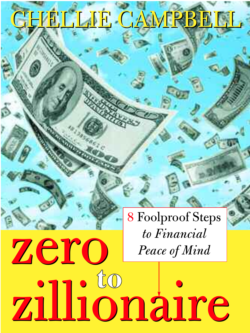# CHELLIE CAMPBELL

# 8 Foolproof Steps *to Financial*  **zero** *Peace of Mind*<br> *Peace of Mind*

zillionaire zillionaire **to**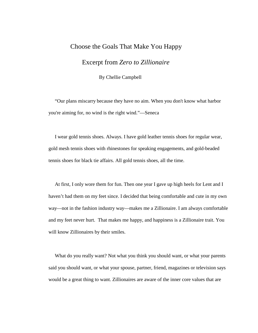# Choose the Goals That Make You Happy

## Excerpt from *Zero to Zillionaire*

By Chellie Campbell

 "Our plans miscarry because they have no aim. When you don't know what harbor you're aiming for, no wind is the right wind."—Seneca

 I wear gold tennis shoes. Always. I have gold leather tennis shoes for regular wear, gold mesh tennis shoes with rhinestones for speaking engagements, and gold-beaded tennis shoes for black tie affairs. All gold tennis shoes, all the time.

 At first, I only wore them for fun. Then one year I gave up high heels for Lent and I haven't had them on my feet since. I decided that being comfortable and cute in my own way—not in the fashion industry way—makes me a Zillionaire. I am always comfortable and my feet never hurt. That makes me happy, and happiness is a Zillionaire trait. You will know Zillionaires by their smiles.

 What do you really want? Not what you think you should want, or what your parents said you should want, or what your spouse, partner, friend, magazines or television says would be a great thing to want. Zillionaires are aware of the inner core values that are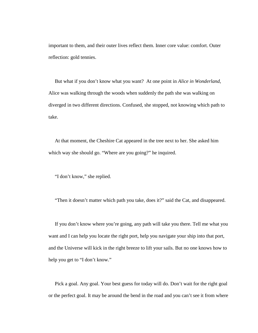important to them, and their outer lives reflect them. Inner core value: comfort. Outer reflection: gold tennies.

 But what if you don't know what you want? At one point in *Alice in Wonderland*, Alice was walking through the woods when suddenly the path she was walking on diverged in two different directions. Confused, she stopped, not knowing which path to take.

 At that moment, the Cheshire Cat appeared in the tree next to her. She asked him which way she should go. "Where are you going?" he inquired.

"I don't know," she replied.

"Then it doesn't matter which path you take, does it?" said the Cat, and disappeared.

 If you don't know where you're going, any path will take you there. Tell me what you want and I can help you locate the right port, help you navigate your ship into that port, and the Universe will kick in the right breeze to lift your sails. But no one knows how to help you get to "I don't know."

 Pick a goal. Any goal. Your best guess for today will do. Don't wait for the right goal or the perfect goal. It may be around the bend in the road and you can't see it from where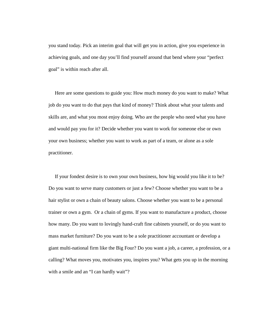you stand today. Pick an interim goal that will get you in action, give you experience in achieving goals, and one day you'll find yourself around that bend where your "perfect goal" is within reach after all.

 Here are some questions to guide you: How much money do you want to make? What job do you want to do that pays that kind of money? Think about what your talents and skills are, and what you most enjoy doing. Who are the people who need what you have and would pay you for it? Decide whether you want to work for someone else or own your own business; whether you want to work as part of a team, or alone as a sole practitioner.

 If your fondest desire is to own your own business, how big would you like it to be? Do you want to serve many customers or just a few? Choose whether you want to be a hair stylist or own a chain of beauty salons. Choose whether you want to be a personal trainer or own a gym. Or a chain of gyms. If you want to manufacture a product, choose how many. Do you want to lovingly hand-craft fine cabinets yourself, or do you want to mass market furniture? Do you want to be a sole practitioner accountant or develop a giant multi-national firm like the Big Four? Do you want a job, a career, a profession, or a calling? What moves you, motivates you, inspires you? What gets you up in the morning with a smile and an "I can hardly wait"?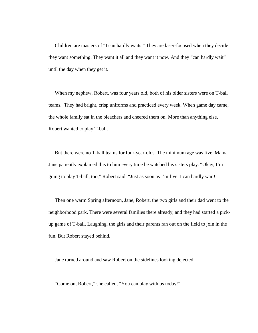Children are masters of "I can hardly waits." They are laser-focused when they decide they want something. They want it all and they want it now. And they "can hardly wait" until the day when they get it.

 When my nephew, Robert, was four years old, both of his older sisters were on T-ball teams. They had bright, crisp uniforms and practiced every week. When game day came, the whole family sat in the bleachers and cheered them on. More than anything else, Robert wanted to play T-ball.

 But there were no T-ball teams for four-year-olds. The minimum age was five. Mama Jane patiently explained this to him every time he watched his sisters play. "Okay, I'm going to play T-ball, too," Robert said. "Just as soon as I'm five. I can hardly wait!"

 Then one warm Spring afternoon, Jane, Robert, the two girls and their dad went to the neighborhood park. There were several families there already, and they had started a pickup game of T-ball. Laughing, the girls and their parents ran out on the field to join in the fun. But Robert stayed behind.

Jane turned around and saw Robert on the sidelines looking dejected.

"Come on, Robert," she called, "You can play with us today!"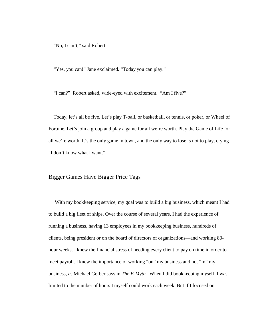"No, I can't," said Robert.

"Yes, you can!" Jane exclaimed. "Today you can play."

"I can?" Robert asked, wide-eyed with excitement. "Am I five?"

 Today, let's all be five. Let's play T-ball, or basketball, or tennis, or poker, or Wheel of Fortune. Let's join a group and play a game for all we're worth. Play the Game of Life for all we're worth. It's the only game in town, and the only way to lose is not to play, crying "I don't know what I want."

## Bigger Games Have Bigger Price Tags

 With my bookkeeping service, my goal was to build a big business, which meant I had to build a big fleet of ships. Over the course of several years, I had the experience of running a business, having 13 employees in my bookkeeping business, hundreds of clients, being president or on the board of directors of organizations—and working 80 hour weeks. I knew the financial stress of needing every client to pay on time in order to meet payroll. I knew the importance of working "on" my business and not "in" my business, as Michael Gerber says in *The E-Myth.* When I did bookkeeping myself, I was limited to the number of hours I myself could work each week. But if I focused on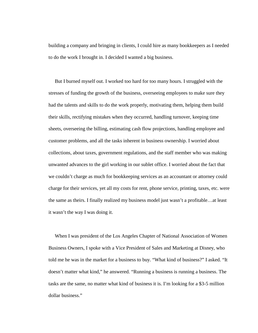building a company and bringing in clients, I could hire as many bookkeepers as I needed to do the work I brought in. I decided I wanted a big business.

 But I burned myself out. I worked too hard for too many hours. I struggled with the stresses of funding the growth of the business, overseeing employees to make sure they had the talents and skills to do the work properly, motivating them, helping them build their skills, rectifying mistakes when they occurred, handling turnover, keeping time sheets, overseeing the billing, estimating cash flow projections, handling employee and customer problems, and all the tasks inherent in business ownership. I worried about collections, about taxes, government regulations, and the staff member who was making unwanted advances to the girl working in our sublet office. I worried about the fact that we couldn't charge as much for bookkeeping services as an accountant or attorney could charge for their services, yet all my costs for rent, phone service, printing, taxes, etc. were the same as theirs. I finally realized my business model just wasn't a profitable…at least it wasn't the way I was doing it.

 When I was president of the Los Angeles Chapter of National Association of Women Business Owners, I spoke with a Vice President of Sales and Marketing at Disney, who told me he was in the market for a business to buy. "What kind of business?" I asked. "It doesn't matter what kind," he answered. "Running a business is running a business. The tasks are the same, no matter what kind of business it is. I'm looking for a \$3-5 million dollar business."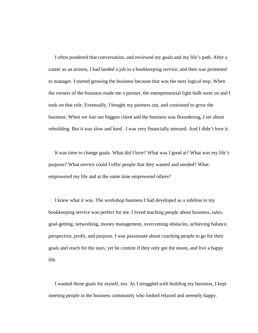I often pondered that conversation, and reviewed my goals and my life's path. After a career as an actress, I had landed a job in a bookkeeping service, and then was promoted to manager. I started growing the business because that was the next logical step. When the owners of the business made me a partner, the entrepreneurial light bulb went on and I took on that role. Eventually, I bought my partners out, and continued to grow the business. When we lost our biggest client and the business was floundering, I set about rebuilding. But it was slow and hard. I was very financially stressed. And I didn't love it.

 It was time to change goals. What did I love? What was I good at? What was my life's purpose? What service could I offer people that they wanted and needed? What empowered my life and at the same time empowered others?

 I knew what it was. The workshop business I had developed as a sideline to my bookkeeping service was perfect for me. I loved teaching people about business, sales, goal-getting, networking, money management, overcoming obstacles, achieving balance, perspective, profit, and purpose. I was passionate about coaching people to go for their goals and reach for the stars, yet be content if they only got the moon, and live a happy life.

 I wanted those goals for myself, too. As I struggled with building my business, I kept meeting people in the business community who looked relaxed and serenely happy.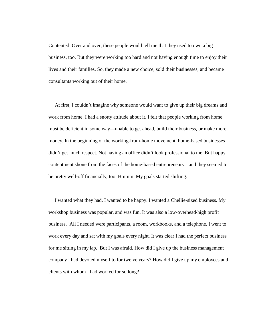Contented. Over and over, these people would tell me that they used to own a big business, too. But they were working too hard and not having enough time to enjoy their lives and their families. So, they made a new choice, sold their businesses, and became consultants working out of their home.

 At first, I couldn't imagine why someone would want to give up their big dreams and work from home. I had a snotty attitude about it. I felt that people working from home must be deficient in some way—unable to get ahead, build their business, or make more money. In the beginning of the working-from-home movement, home-based businesses didn't get much respect. Not having an office didn't look professional to me. But happy contentment shone from the faces of the home-based entrepreneurs—and they seemed to be pretty well-off financially, too. Hmmm. My goals started shifting.

 I wanted what they had. I wanted to be happy. I wanted a Chellie-sized business. My workshop business was popular, and was fun. It was also a low-overhead/high profit business. All I needed were participants, a room, workbooks, and a telephone. I went to work every day and sat with my goals every night. It was clear I had the perfect business for me sitting in my lap. But I was afraid. How did I give up the business management company I had devoted myself to for twelve years? How did I give up my employees and clients with whom I had worked for so long?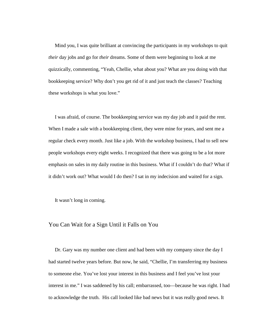Mind you, I was quite brilliant at convincing the participants in my workshops to quit *their* day jobs and go for *their* dreams. Some of them were beginning to look at me quizzically, commenting, "Yeah, Chellie, what about you? What are you doing with that bookkeeping service? Why don't you get rid of it and just teach the classes? Teaching these workshops is what you love."

 I was afraid, of course. The bookkeeping service was my day job and it paid the rent. When I made a sale with a bookkeeping client, they were mine for years, and sent me a regular check every month. Just like a job. With the workshop business, I had to sell new people workshops every eight weeks. I recognized that there was going to be a lot more emphasis on sales in my daily routine in this business. What if I couldn't do that? What if it didn't work out? What would I do then? I sat in my indecision and waited for a sign.

It wasn't long in coming.

#### You Can Wait for a Sign Until it Falls on You

 Dr. Gary was my number one client and had been with my company since the day I had started twelve years before. But now, he said, "Chellie, I'm transferring my business to someone else. You've lost your interest in this business and I feel you've lost your interest in me." I was saddened by his call; embarrassed, too—because he was right. I had to acknowledge the truth. His call looked like bad news but it was really good news. It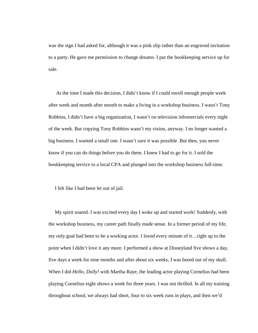was the sign I had asked for, although it was a pink slip rather than an engraved invitation to a party. He gave me permission to change dreams. I put the bookkeeping service up for sale.

 At the time I made this decision, I didn't know if I could enroll enough people week after week and month after month to make a living in a workshop business. I wasn't Tony Robbins, I didn't have a big organization, I wasn't on television infomercials every night of the week. But copying Tony Robbins wasn't my vision, anyway. I no longer wanted a big business. I wanted a small one. I wasn't sure it was possible. But then, you never know if you can do things before you do them. I knew I had to go for it. I sold the bookkeeping service to a local CPA and plunged into the workshop business full-time.

I felt like I had been let out of jail.

 My spirit soared. I was excited every day I woke up and started work! Suddenly, with the workshop business, my career path finally made sense. In a former period of my life, my only goal had been to be a working actor. I loved every minute of it…right up to the point when I didn't love it any more. I performed a show at Disneyland five shows a day, five days a week for nine months and after about six weeks, I was bored out of my skull. When I did *Hello, Dolly!* with Martha Raye, the leading actor playing Cornelius had been playing Cornelius eight shows a week for three years. I was not thrilled. In all my training throughout school, we always had short, four to six week runs in plays, and then we'd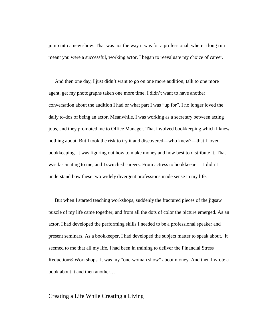jump into a new show. That was not the way it was for a professional, where a long run meant you were a successful, working actor. I began to reevaluate my choice of career.

 And then one day, I just didn't want to go on one more audition, talk to one more agent, get my photographs taken one more time. I didn't want to have another conversation about the audition I had or what part I was "up for". I no longer loved the daily to-dos of being an actor. Meanwhile, I was working as a secretary between acting jobs, and they promoted me to Office Manager. That involved bookkeeping which I knew nothing about. But I took the risk to try it and discovered—who knew?—that I loved bookkeeping. It was figuring out how to make money and how best to distribute it. That was fascinating to me, and I switched careers. From actress to bookkeeper—I didn't understand how these two widely divergent professions made sense in my life.

 But when I started teaching workshops, suddenly the fractured pieces of the jigsaw puzzle of my life came together, and from all the dots of color the picture emerged. As an actor, I had developed the performing skills I needed to be a professional speaker and present seminars. As a bookkeeper, I had developed the subject matter to speak about. It seemed to me that all my life, I had been in training to deliver the Financial Stress Reduction® Workshops. It was my "one-woman show" about money. And then I wrote a book about it and then another…

#### Creating a Life While Creating a Living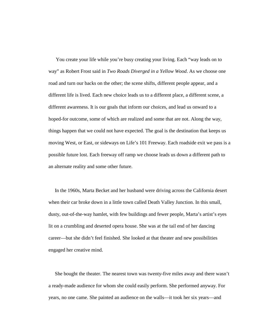You create your life while you're busy creating your living. Each "way leads on to way" as Robert Frost said in *Two Roads Diverged in a Yellow Wood*. As we choose one road and turn our backs on the other; the scene shifts, different people appear, and a different life is lived. Each new choice leads us to a different place, a different scene, a different awareness. It is our goals that inform our choices, and lead us onward to a hoped-for outcome, some of which are realized and some that are not. Along the way, things happen that we could not have expected. The goal is the destination that keeps us moving West, or East, or sideways on Life's 101 Freeway. Each roadside exit we pass is a possible future lost. Each freeway off ramp we choose leads us down a different path to an alternate reality and some other future.

 In the 1960s, Marta Becket and her husband were driving across the California desert when their car broke down in a little town called Death Valley Junction. In this small, dusty, out-of-the-way hamlet, with few buildings and fewer people, Marta's artist's eyes lit on a crumbling and deserted opera house. She was at the tail end of her dancing career—but she didn't feel finished. She looked at that theater and new possibilities engaged her creative mind.

 She bought the theater. The nearest town was twenty-five miles away and there wasn't a ready-made audience for whom she could easily perform. She performed anyway. For years, no one came. She painted an audience on the walls—it took her six years—and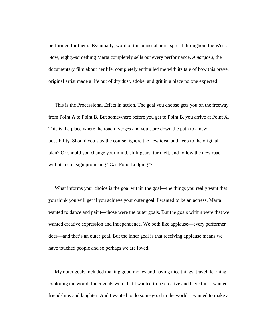performed for them. Eventually, word of this unusual artist spread throughout the West. Now, eighty-something Marta completely sells out every performance. *Amargosa*, the documentary film about her life, completely enthralled me with its tale of how this brave, original artist made a life out of dry dust, adobe, and grit in a place no one expected.

 This is the Processional Effect in action. The goal you choose gets you on the freeway from Point A to Point B. But somewhere before you get to Point B, you arrive at Point X. This is the place where the road diverges and you stare down the path to a new possibility. Should you stay the course, ignore the new idea, and keep to the original plan? Or should you change your mind, shift gears, turn left, and follow the new road with its neon sign promising "Gas-Food-Lodging"?

What informs your choice is the goal within the goal—the things you really want that you think you will get if you achieve your outer goal. I wanted to be an actress, Marta wanted to dance and paint—those were the outer goals. But the goals within were that we wanted creative expression and independence. We both like applause—every performer does—and that's an outer goal. But the inner goal is that receiving applause means we have touched people and so perhaps we are loved.

 My outer goals included making good money and having nice things, travel, learning, exploring the world. Inner goals were that I wanted to be creative and have fun; I wanted friendships and laughter. And I wanted to do some good in the world. I wanted to make a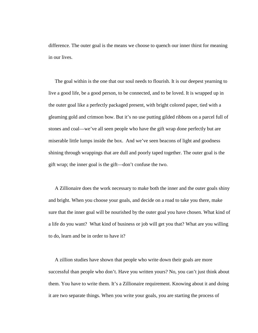difference. The outer goal is the means we choose to quench our inner thirst for meaning in our lives.

 The goal within is the one that our soul needs to flourish. It is our deepest yearning to live a good life, be a good person, to be connected, and to be loved. It is wrapped up in the outer goal like a perfectly packaged present, with bright colored paper, tied with a gleaming gold and crimson bow. But it's no use putting gilded ribbons on a parcel full of stones and coal—we've all seen people who have the gift wrap done perfectly but are miserable little lumps inside the box. And we've seen beacons of light and goodness shining through wrappings that are dull and poorly taped together. The outer goal is the gift wrap; the inner goal is the gift—don't confuse the two.

 A Zillionaire does the work necessary to make both the inner and the outer goals shiny and bright. When you choose your goals, and decide on a road to take you there, make sure that the inner goal will be nourished by the outer goal you have chosen. What kind of a life do you want? What kind of business or job will get you that? What are you willing to do, learn and be in order to have it?

 A zillion studies have shown that people who write down their goals are more successful than people who don't. Have you written yours? No, you can't just think about them. You have to write them. It's a Zillionaire requirement. Knowing about it and doing it are two separate things. When you write your goals, you are starting the process of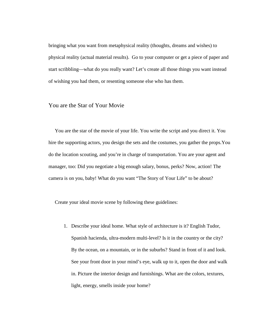bringing what you want from metaphysical reality (thoughts, dreams and wishes) to physical reality (actual material results). Go to your computer or get a piece of paper and start scribbling—what do you really want? Let's create all those things you want instead of wishing you had them, or resenting someone else who has them.

#### You are the Star of Your Movie

 You are the star of the movie of your life. You write the script and you direct it. You hire the supporting actors, you design the sets and the costumes, you gather the props.You do the location scouting, and you're in charge of transportation. You are your agent and manager, too: Did you negotiate a big enough salary, bonus, perks? Now, action! The camera is on you, baby! What do you want "The Story of Your Life" to be about?

Create your ideal movie scene by following these guidelines:

1. Describe your ideal home. What style of architecture is it? English Tudor, Spanish hacienda, ultra-modern multi-level? Is it in the country or the city? By the ocean, on a mountain, or in the suburbs? Stand in front of it and look. See your front door in your mind's eye, walk up to it, open the door and walk in. Picture the interior design and furnishings. What are the colors, textures, light, energy, smells inside your home?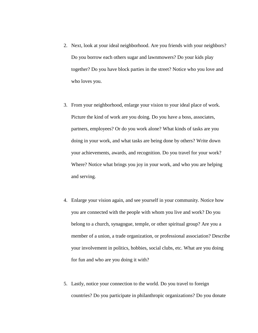- 2. Next, look at your ideal neighborhood. Are you friends with your neighbors? Do you borrow each others sugar and lawnmowers? Do your kids play together? Do you have block parties in the street? Notice who you love and who loves you.
- 3. From your neighborhood, enlarge your vision to your ideal place of work. Picture the kind of work are you doing. Do you have a boss, associates, partners, employees? Or do you work alone? What kinds of tasks are you doing in your work, and what tasks are being done by others? Write down your achievements, awards, and recognition. Do you travel for your work? Where? Notice what brings you joy in your work, and who you are helping and serving.
- 4. Enlarge your vision again, and see yourself in your community. Notice how you are connected with the people with whom you live and work? Do you belong to a church, synagogue, temple, or other spiritual group? Are you a member of a union, a trade organization, or professional association? Describe your involvement in politics, hobbies, social clubs, etc. What are you doing for fun and who are you doing it with?
- 5. Lastly, notice your connection to the world. Do you travel to foreign countries? Do you participate in philanthropic organizations? Do you donate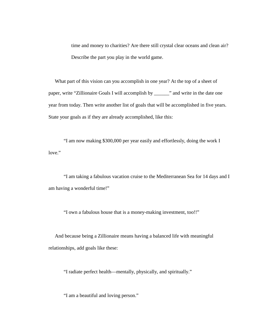time and money to charities? Are there still crystal clear oceans and clean air? Describe the part you play in the world game.

 What part of this vision can you accomplish in one year? At the top of a sheet of paper, write "Zillionaire Goals I will accomplish by \_\_\_\_\_\_" and write in the date one year from today. Then write another list of goals that will be accomplished in five years. State your goals as if they are already accomplished, like this:

"I am now making \$300,000 per year easily and effortlessly, doing the work I love."

"I am taking a fabulous vacation cruise to the Mediterranean Sea for 14 days and I am having a wonderful time!"

"I own a fabulous house that is a money-making investment, too!!"

 And because being a Zillionaire means having a balanced life with meaningful relationships, add goals like these:

"I radiate perfect health—mentally, physically, and spiritually."

"I am a beautiful and loving person."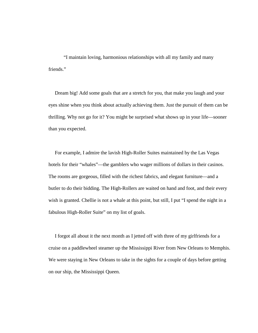"I maintain loving, harmonious relationships with all my family and many friends."

 Dream big! Add some goals that are a stretch for you, that make you laugh and your eyes shine when you think about actually achieving them. Just the pursuit of them can be thrilling. Why not go for it? You might be surprised what shows up in your life—sooner than you expected.

 For example, I admire the lavish High-Roller Suites maintained by the Las Vegas hotels for their "whales"—the gamblers who wager millions of dollars in their casinos. The rooms are gorgeous, filled with the richest fabrics, and elegant furniture—and a butler to do their bidding. The High-Rollers are waited on hand and foot, and their every wish is granted. Chellie is not a whale at this point, but still, I put "I spend the night in a fabulous High-Roller Suite" on my list of goals.

 I forgot all about it the next month as I jetted off with three of my girlfriends for a cruise on a paddlewheel steamer up the Mississippi River from New Orleans to Memphis. We were staying in New Orleans to take in the sights for a couple of days before getting on our ship, the Mississippi Queen.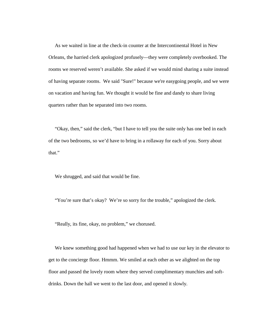As we waited in line at the check-in counter at the Intercontinental Hotel in New Orleans, the harried clerk apologized profusely—they were completely overbooked. The rooms we reserved weren't available. She asked if we would mind sharing a suite instead of having separate rooms. We said "Sure!" because we're easygoing people, and we were on vacation and having fun. We thought it would be fine and dandy to share living quarters rather than be separated into two rooms.

 "Okay, then," said the clerk, "but I have to tell you the suite only has one bed in each of the two bedrooms, so we'd have to bring in a rollaway for each of you. Sorry about that."

We shrugged, and said that would be fine.

"You're sure that's okay? We're so sorry for the trouble," apologized the clerk.

"Really, its fine, okay, no problem," we chorused.

 We knew something good had happened when we had to use our key in the elevator to get to the concierge floor. Hmmm. We smiled at each other as we alighted on the top floor and passed the lovely room where they served complimentary munchies and softdrinks. Down the hall we went to the last door, and opened it slowly.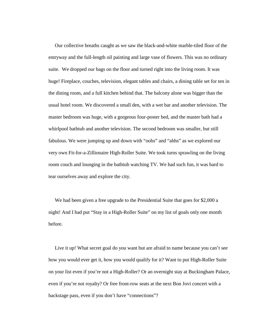Our collective breaths caught as we saw the black-and-white marble-tiled floor of the entryway and the full-length oil painting and large vase of flowers. This was no ordinary suite. We dropped our bags on the floor and turned right into the living room. It was huge! Fireplace, couches, television, elegant tables and chairs, a dining table set for ten in the dining room, and a full kitchen behind that. The balcony alone was bigger than the usual hotel room. We discovered a small den, with a wet bar and another television. The master bedroom was huge, with a gorgeous four-poster bed, and the master bath had a whirlpool bathtub and another television. The second bedroom was smaller, but still fabulous. We were jumping up and down with "oohs" and "ahhs" as we explored our very own Fit-for-a-Zillionaire High-Roller Suite. We took turns sprawling on the living room couch and lounging in the bathtub watching TV. We had such fun, it was hard to tear ourselves away and explore the city.

We had been given a free upgrade to the Presidential Suite that goes for \$2,000 a night! And I had put "Stay in a High-Roller Suite" on my list of goals only one month before.

 Live it up! What secret goal do you want but are afraid to name because you can't see how you would ever get it, how you would qualify for it? Want to put High-Roller Suite on your list even if you're not a High-Roller? Or an overnight stay at Buckingham Palace, even if you're not royalty? Or free front-row seats at the next Bon Jovi concert with a backstage pass, even if you don't have "connections"?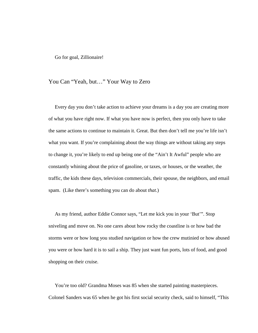Go for goal, Zillionaire!

You Can "Yeah, but…" Your Way to Zero

 Every day you don't take action to achieve your dreams is a day you are creating more of what you have right now. If what you have now is perfect, then you only have to take the same actions to continue to maintain it. Great. But then don't tell me you're life isn't what you want. If you're complaining about the way things are without taking any steps to change it, you're likely to end up being one of the "Ain't It Awful" people who are constantly whining about the price of gasoline, or taxes, or houses, or the weather, the traffic, the kids these days, television commercials, their spouse, the neighbors, and email spam. (Like there's something you can do about *that*.)

 As my friend, author Eddie Connor says, "Let me kick you in your 'But'". Stop sniveling and move on. No one cares about how rocky the coastline is or how bad the storms were or how long you studied navigation or how the crew mutinied or how abused you were or how hard it is to sail a ship. They just want fun ports, lots of food, and good shopping on their cruise.

 You're too old? Grandma Moses was 85 when she started painting masterpieces. Colonel Sanders was 65 when he got his first social security check, said to himself, "This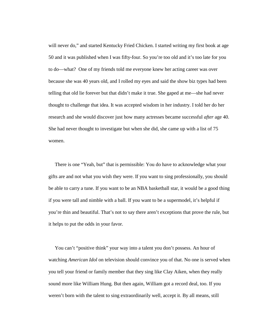will never do," and started Kentucky Fried Chicken. I started writing my first book at age 50 and it was published when I was fifty-four. So you're too old and it's too late for you to do—what? One of my friends told me everyone knew her acting career was over because she was 40 years old, and I rolled my eyes and said the show biz types had been telling that old lie forever but that didn't make it true. She gaped at me—she had never thought to challenge that idea. It was accepted wisdom in her industry. I told her do her research and she would discover just how many actresses became successful *after* age 40. She had never thought to investigate but when she did, she came up with a list of 75 women.

 There is one "Yeah, but" that is permissible: You do have to acknowledge what your gifts are and not what you wish they were. If you want to sing professionally, you should be able to carry a tune. If you want to be an NBA basketball star, it would be a good thing if you were tall and nimble with a ball. If you want to be a supermodel, it's helpful if you're thin and beautiful. That's not to say there aren't exceptions that prove the rule, but it helps to put the odds in your favor.

 You can't "positive think" your way into a talent you don't possess. An hour of watching *American Idol* on television should convince you of that. No one is served when you tell your friend or family member that they sing like Clay Aiken, when they really sound more like William Hung. But then again, William got a record deal, too. If you weren't born with the talent to sing extraordinarily well, accept it. By all means, still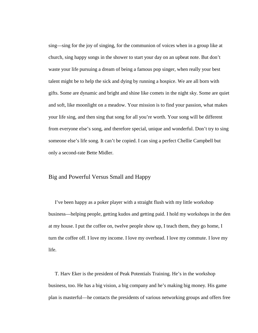sing—sing for the joy of singing, for the communion of voices when in a group like at church, sing happy songs in the shower to start your day on an upbeat note. But don't waste your life pursuing a dream of being a famous pop singer, when really your best talent might be to help the sick and dying by running a hospice. We are all born with gifts. Some are dynamic and bright and shine like comets in the night sky. Some are quiet and soft, like moonlight on a meadow. Your mission is to find your passion, what makes your life sing, and then sing that song for all you're worth. Your song will be different from everyone else's song, and therefore special, unique and wonderful. Don't try to sing someone else's life song. It can't be copied. I can sing a perfect Chellie Campbell but only a second-rate Bette Midler.

#### Big and Powerful Versus Small and Happy

 I've been happy as a poker player with a straight flush with my little workshop business—helping people, getting kudos and getting paid. I hold my workshops in the den at my house. I put the coffee on, twelve people show up, I teach them, they go home, I turn the coffee off. I love my income. I love my overhead. I love my commute. I love my life.

 T. Harv Eker is the president of Peak Potentials Training. He's in the workshop business, too. He has a big vision, a big company and he's making big money. His game plan is masterful—he contacts the presidents of various networking groups and offers free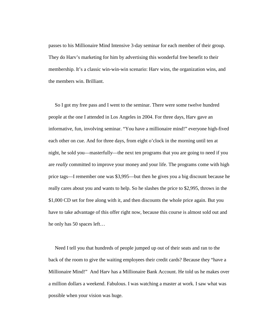passes to his Millionaire Mind Intensive 3-day seminar for each member of their group. They do Harv's marketing for him by advertising this wonderful free benefit to their membership. It's a classic win-win-win scenario: Harv wins, the organization wins, and the members win. Brilliant.

 So I got my free pass and I went to the seminar. There were some twelve hundred people at the one I attended in Los Angeles in 2004. For three days, Harv gave an informative, fun, involving seminar. "You have a millionaire mind!" everyone high-fived each other on cue. And for three days, from eight o'clock in the morning until ten at night, he sold you—masterfully—the next ten programs that you are going to need if you are *really* committed to improve your money and your life. The programs come with high price tags—I remember one was \$3,995—but then he gives you a big discount because he really cares about you and wants to help. So he slashes the price to \$2,995, throws in the \$1,000 CD set for free along with it, and then discounts the whole price again. But you have to take advantage of this offer right now, because this course is almost sold out and he only has 50 spaces left…

 Need I tell you that hundreds of people jumped up out of their seats and ran to the back of the room to give the waiting employees their credit cards? Because they "have a Millionaire Mind!" And Harv has a Millionaire Bank Account. He told us he makes over a million dollars a weekend. Fabulous. I was watching a master at work. I saw what was possible when your vision was huge.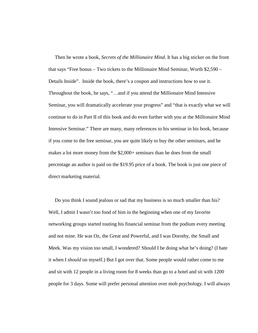Then he wrote a book, *Secrets of the Millionaire Mind*. It has a big sticker on the front that says "Free bonus – Two tickets to the Millionaire Mind Seminar, Worth \$2,590 – Details Inside". Inside the book, there's a coupon and instructions how to use it. Throughout the book, he says, "…and if you attend the Millionaire Mind Intensive Seminar, you will dramatically accelerate your progress" and "that is exactly what we will continue to do in Part II of this book and do even further with you at the Millionaire Mind Intensive Seminar." There are many, many references to his seminar in his book, because if you come to the free seminar, you are quite likely to buy the other seminars, and he makes a lot more money from the \$2,000+ seminars than he does from the small percentage an author is paid on the \$19.95 price of a book. The book is just one piece of direct marketing material.

 Do you think I sound jealous or sad that my business is so much smaller than his? Well, I admit I wasn't too fond of him in the beginning when one of my favorite networking groups started touting his financial seminar from the podium every meeting and not mine. He was Oz, the Great and Powerful, and I was Dorothy, the Small and Meek. Was my vision too small, I wondered? Should I be doing what he's doing? (I hate it when I *should* on myself.) But I got over that. Some people would rather come to me and sit with 12 people in a living room for 8 weeks than go to a hotel and sit with 1200 people for 3 days. Some will prefer personal attention over mob psychology. I will always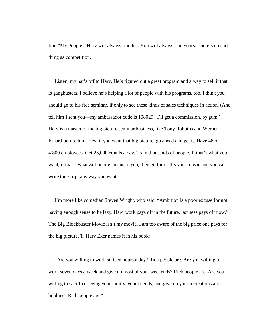find "My People". Harv will always find his. You will always find yours. There's no such thing as competition.

 Listen, my hat's off to Harv. He's figured out a great program and a way to sell it that is gangbusters. I believe he's helping a lot of people with his programs, too. I think you should go to his free seminar, if only to see these kinds of sales techniques in action. (And tell him I sent you—my ambassador code is 108029. I'll get a commission, by gum.) Harv is a master of the big picture seminar business, like Tony Robbins and Werner Erhard before him. Hey, if you want that big picture, go ahead and get it. Have 48 or 4,800 employees. Get 25,000 emails a day. Train thousands of people. If that's what you want, if that's what Zillionaire means to you, then go for it. It's your movie and you can write the script any way you want.

 I'm more like comedian Steven Wright, who said, "Ambition is a poor excuse for not having enough sense to be lazy. Hard work pays off in the future, laziness pays off now." The Big Blockbuster Movie isn't my movie. I am too aware of the big price one pays for the big picture. T. Harv Eker names it in his book:

 "Are you willing to work sixteen hours a day? Rich people are. Are you willing to work seven days a week and give up most of your weekends? Rich people are. Are you willing to sacrifice seeing your family, your friends, and give up your recreations and hobbies? Rich people are."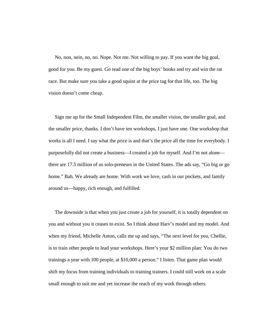No, non, nein, no, no. Nope. Not me. Not willing to pay. If you want the big goal, good for you. Be my guest. Go read one of the big boys' books and try and win the rat race. But make sure you take a good squint at the price tag for that life, too. The big vision doesn't come cheap.

 Sign me up for the Small Independent Film, the smaller vision, the smaller goal, and the smaller price, thanks. I don't have ten workshops, I just have one. One workshop that works is all I need. I say what the price is and that's the price all the time for everybody. I purposefully did not create a business—I created a job for myself. And I'm not alone there are 17.5 million of us solo-preneurs in the United States. The ads say, "Go big or go home." Bah. We already are home. With work we love, cash in our pockets, and family around us—happy, rich enough, and fulfilled.

 The downside is that when you just create a job for yourself, it is totally dependent on you and without you it ceases to exist. So I think about Harv's model and my model. And when my friend, Michelle Anton, calls me up and says, "The next level for you, Chellie, is to train other people to lead your workshops. Here's your \$2 million plan: You do two trainings a year with 100 people, at \$10,000 a person." I listen. That game plan would shift my focus from training individuals to training trainers. I could still work on a scale small enough to suit me and yet increase the reach of my work through others.